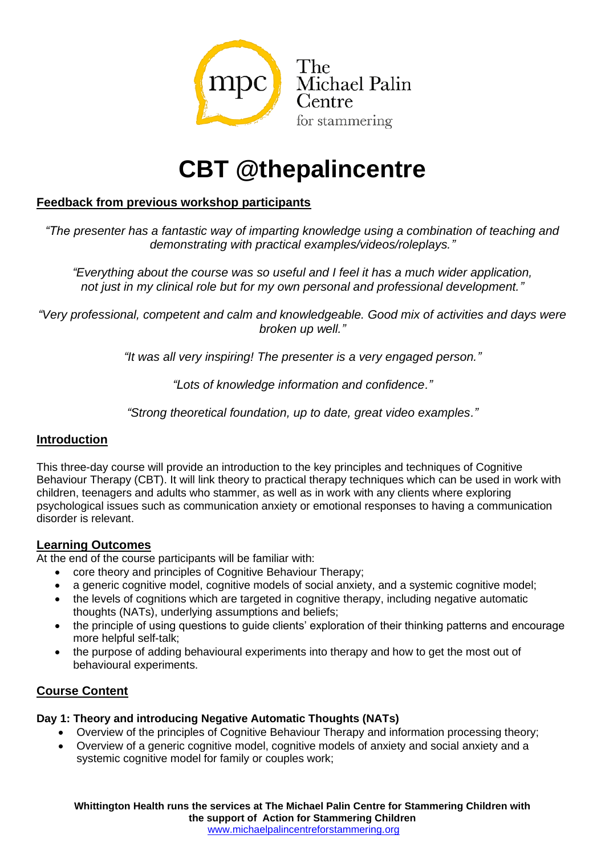

# **CBT @thepalincentre**

# **Feedback from previous workshop participants**

*"The presenter has a fantastic way of imparting knowledge using a combination of teaching and demonstrating with practical examples/videos/roleplays."*

*"Everything about the course was so useful and I feel it has a much wider application, not just in my clinical role but for my own personal and professional development."*

*"Very professional, competent and calm and knowledgeable. Good mix of activities and days were broken up well."*

*"It was all very inspiring! The presenter is a very engaged person."*

*"Lots of knowledge information and confidence."*

*"Strong theoretical foundation, up to date, great video examples."*

## **Introduction**

This three-day course will provide an introduction to the key principles and techniques of Cognitive Behaviour Therapy (CBT). It will link theory to practical therapy techniques which can be used in work with children, teenagers and adults who stammer, as well as in work with any clients where exploring psychological issues such as communication anxiety or emotional responses to having a communication disorder is relevant.

## **Learning Outcomes**

At the end of the course participants will be familiar with:

- core theory and principles of Cognitive Behaviour Therapy;
- a generic cognitive model, cognitive models of social anxiety, and a systemic cognitive model;
- the levels of cognitions which are targeted in cognitive therapy, including negative automatic thoughts (NATs), underlying assumptions and beliefs;
- the principle of using questions to guide clients' exploration of their thinking patterns and encourage more helpful self-talk;
- the purpose of adding behavioural experiments into therapy and how to get the most out of behavioural experiments.

## **Course Content**

## **Day 1: Theory and introducing Negative Automatic Thoughts (NATs)**

- Overview of the principles of Cognitive Behaviour Therapy and information processing theory;
- Overview of a generic cognitive model, cognitive models of anxiety and social anxiety and a systemic cognitive model for family or couples work;